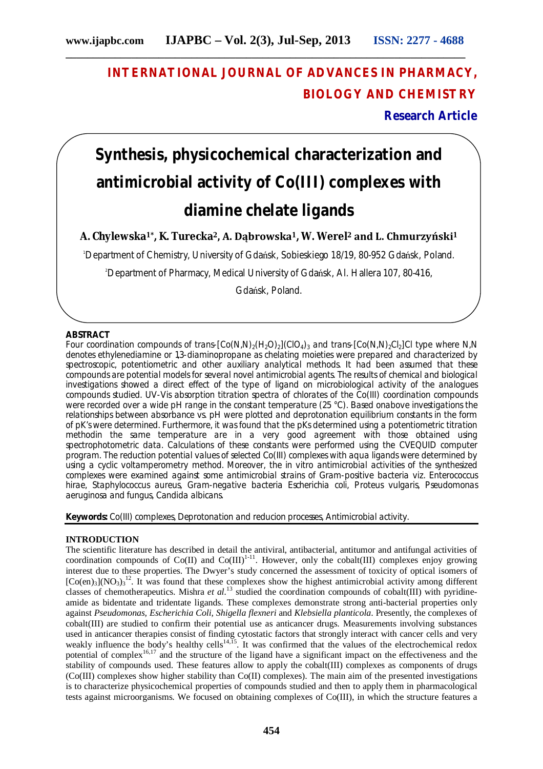# **INTERNATIONAL JOURNAL OF ADVANCES IN PHARMACY, BIOLOGY AND CHEMISTRY**

**Research Article**

# **Synthesis, physicochemical characterization and antimicrobial activity of Co(III) complexes with diamine chelate ligands**

**A. Chylewska1\*, K. Turecka2, A. Dąbrowska1, W. Werel<sup>2</sup> and L. Chmurzyński<sup>1</sup>**

<sup>1</sup>Department of Chemistry, University of Gdańsk, Sobieskiego 18/19, 80-952 Gdańsk, Poland.

<sup>2</sup>Department of Pharmacy, Medical University of Gdańsk, Al. Hallera 107, 80-416,

Gdańsk, Poland.

# **ABSTRACT**

Four coordination compounds of *trans*- $[Co(N,N)(H_2O)_2]$ (ClO<sub>4</sub>)<sub>3</sub> and *trans*- $[Co(N,N)(H_2O)_2]$ Cl type where *N,N* denotes ethylenediamine or 1,3-diaminopropane as chelating moieties were prepared and characterized by spectroscopic, potentiometric and other auxiliary analytical methods. It had been assumed that these compounds are potential models for several novel antimicrobial agents. The results of chemical and biological investigations showed a direct effect of the type of ligand on microbiological activity of the analogues compounds studied. UV-Vis absorption titration spectra of chlorates of the Co(III) coordination compounds were recorded over a wide pH range in the constant temperature (25 °C). Based onabove investigations the relationships between absorbance *vs.* pH were plotted and deprotonation equilibrium constants in the form of pK's were determined. Furthermore, it was found that the pKs determined using a potentiometric titration methodin the same temperature are in a very good agreement with those obtained using spectrophotometric data. Calculations of these constants were performed using the CVEQUID computer program. The reduction potential values of selected Co(III) complexes with aqua ligands were determined by using a cyclic voltamperometry method. Moreover, the *in vitro* antimicrobial activities of the synthesized complexes were examined against some antimicrobial strains of Gram-positive bacteria *viz. Enterococcus hirae*, *Staphylococcus aureus*, Gram-negative bacteria *Escherichia coli*, *Proteus vulgaris*, *Pseudomonas aeruginosa* and fungus, *Candida albicans*.

**Keywords:** Co(III) complexes, Deprotonation and reducion processes, Antimicrobial activity.

# **INTRODUCTION**

The scientific literature has described in detail the antiviral, antibacterial, antitumor and antifungal activities of coordination compounds of  $Co(II)$  and  $Co(III)^{1-11}$ . However, only the cobalt(III) complexes enjoy growing interest due to these properties. The Dwyer's study concerned the assessment of toxicity of optical isomers of  $[Co(en)_3](NO_3)_3^{12}$ . It was found that these complexes show the highest antimicrobial activity among different classes of chemotherapeutics. Mishra *et al.*<sup>13</sup> studied the coordination compounds of cobalt(III) with pyridineamide as bidentate and tridentate ligands. These complexes demonstrate strong anti-bacterial properties only against *Pseudomonas, Escherichia Coli, Shigella flexneri* and *Klebsiella planticola*. Presently, the complexes of cobalt(III) are studied to confirm their potential use as anticancer drugs. Measurements involving substances used in anticancer therapies consist of finding cytostatic factors that strongly interact with cancer cells and very weakly influence the body's healthy cells<sup>14,15</sup>. It was confirmed that the values of the electrochemical redox potential of complex<sup>16,17</sup> and the structure of the ligand have a significant impact on the effectiveness and the stability of compounds used. These features allow to apply the cobalt(III) complexes as components of drugs (Co(III) complexes show higher stability than Co(II) complexes). The main aim of the presented investigations is to characterize physicochemical properties of compounds studied and then to apply them in pharmacological tests against microorganisms. We focused on obtaining complexes of Co(III), in which the structure features a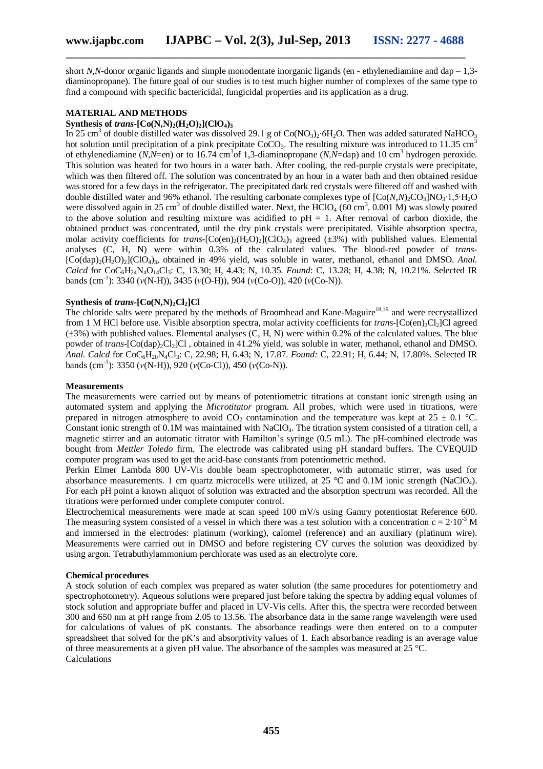short *N,N*-donor organic ligands and simple monodentate inorganic ligands (en - ethylenediamine and dap – 1,3diaminopropane). The future goal of our studies is to test much higher number of complexes of the same type to find a compound with specific bactericidal, fungicidal properties and its application as a drug.

#### **MATERIAL AND METHODS**

### **Synthesis of** *trans***-[Co(N,N)**<sub>2</sub>(H<sub>2</sub>O)<sub>2</sub>](ClO<sub>4</sub>)<sup>3</sup>

In 25 cm<sup>3</sup> of double distilled water was dissolved 29.1 g of Co(NO<sub>3</sub>)<sub>2</sub>∙6H<sub>2</sub>O. Then was added saturated NaHCO<sub>3</sub> hot solution until precipitation of a pink precipitate  $CoCO<sub>3</sub>$ . The resulting mixture was introduced to 11.35 cm<sup>3</sup> of ethylenediamine (*N,N*=en) or to 16.74 cm<sup>3</sup> of 1,3-diaminopropane (*N,N*=dap) and 10 cm<sup>3</sup> hydrogen peroxide. This solution was heated for two hours in a water bath. After cooling, the red-purple crystals were precipitate, which was then filtered off. The solution was concentrated by an hour in a water bath and then obtained residue was stored for a few days in the refrigerator. The precipitated dark red crystals were filtered off and washed with double distilled water and 96% ethanol. The resulting carbonate complexes type of  $[Co(N,N)_{2}CO_{3}]NO_{3}·1,5·H_{2}O$ were dissolved again in 25 cm<sup>3</sup> of double distilled water. Next, the HClO<sub>4</sub> (60 cm<sup>3</sup>, 0.001 M) was slowly poured to the above solution and resulting mixture was acidified to  $pH = 1$ . After removal of carbon dioxide, the obtained product was concentrated, until the dry pink crystals were precipitated. Visible absorption spectra, molar activity coefficients for *trans*- $[Co(en)_{2}(H_{2}O)_{2}](ClO_{4})$ <sub>3</sub> agreed ( $\pm 3\%$ ) with published values. Elemental analyses (C, H, N) were within 0.3% of the calculated values. The blood-red powder of *trans-* [Co(dap)2(H2O)2](ClO4)3, obtained in 49% yield, was soluble in water, methanol, ethanol and DMSO. *Anal. Calcd* for CoC6H24N4O14Cl3: C, 13.30; H, 4.43; N, 10.35. *Found*: C, 13.28; H, 4.38; N, 10.21%. Selected IR bands (cm-1 ): 3340 (*ν*(N-H)), 3435 (*ν*(O-H)), 904 (*ν*(Co-O)), 420 (*ν*(Co-N)).

#### **Synthesis of** *trans***-[Co(N,N)**<sub>2</sub>**Cl**<sub>2</sub>**]Cl**

The chloride salts were prepared by the methods of Broomhead and Kane-Maguire<sup>18,19</sup> and were recrystallized from 1 M HCl before use. Visible absorption spectra, molar activity coefficients for *trans*-[Co(en)<sub>2</sub>Cl<sub>2</sub>]Cl agreed  $(\pm 3\%)$  with published values. Elemental analyses (C, H, N) were within 0.2% of the calculated values. The blue powder of *trans*-[Co(dap)<sub>2</sub>Cl<sub>2</sub>]Cl, obtained in 41.2% yield, was soluble in water, methanol, ethanol and DMSO. *Anal. Calcd* for CoC6H20N4Cl3: C, 22.98; H, 6.43; N, 17.87. *Found:* C, 22.91; H, 6.44; N, 17.80%. Selected IR bands (cm-1 ): 3350 (*ν*(N-H)), 920 (*ν*(Co-Cl)), 450 (*ν*(Co-N)).

#### **Measurements**

The measurements were carried out by means of potentiometric titrations at constant ionic strength using an automated system and applying the *Microtitator* program. All probes, which were used in titrations, were prepared in nitrogen atmosphere to avoid CO<sub>2</sub> contamination and the temperature was kept at  $25 \pm 0.1$  °C. Constant ionic strength of  $0.1M$  was maintained with NaClO<sub>4</sub>. The titration system consisted of a titration cell, a magnetic stirrer and an automatic titrator with Hamilton's syringe (0.5 mL). The pH-combined electrode was bought from *Mettler Toledo* firm. The electrode was calibrated using pH standard buffers. The CVEQUID computer program was used to get the acid-base constants from potentiometric method.

Perkin Elmer Lambda 800 UV-Vis double beam spectrophotometer, with automatic stirrer, was used for absorbance measurements. 1 cm quartz microcells were utilized, at 25 °C and 0.1M ionic strength (NaClO<sub>4</sub>). For each pH point a known aliquot of solution was extracted and the absorption spectrum was recorded. All the titrations were performed under complete computer control.

Electrochemical measurements were made at scan speed 100 mV/s using Gamry potentiostat Reference 600. The measuring system consisted of a vessel in which there was a test solution with a concentration c =  $2 \cdot 10^{-3}$  M and immersed in the electrodes: platinum (working), calomel (reference) and an auxiliary (platinum wire). Measurements were carried out in DMSO and before registering CV curves the solution was deoxidized by using argon. Tetrabuthylammonium perchlorate was used as an electrolyte core.

#### **Chemical procedures**

A stock solution of each complex was prepared as water solution (the same procedures for potentiometry and spectrophotometry). Aqueous solutions were prepared just before taking the spectra by adding equal volumes of stock solution and appropriate buffer and placed in UV-Vis cells. After this, the spectra were recorded between 300 and 650 nm at pH range from 2.05 to 13.56. The absorbance data in the same range wavelength were used for calculations of values of pK constants. The absorbance readings were then entered on to a computer spreadsheet that solved for the pK's and absorptivity values of 1. Each absorbance reading is an average value of three measurements at a given pH value. The absorbance of the samples was measured at  $25 \degree C$ . Calculations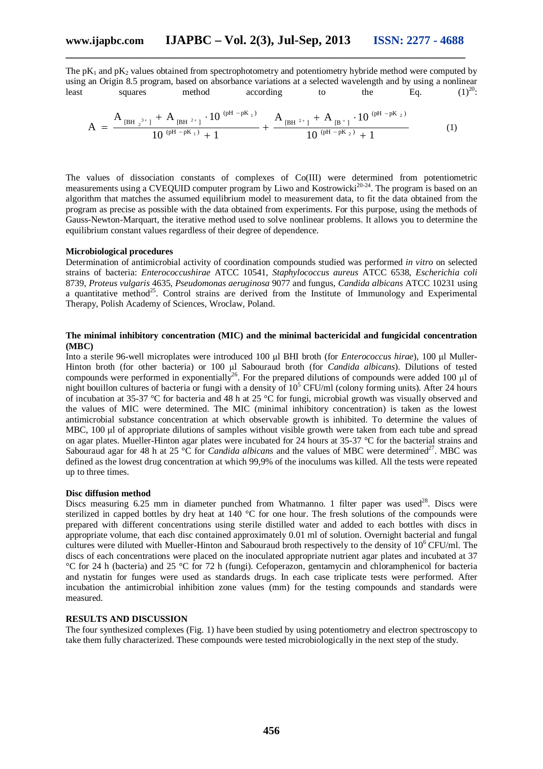The  $pK_1$  and  $pK_2$  values obtained from spectrophotometry and potentiometry hybride method were computed by using an Origin 8.5 program, based on absorbance variations at a selected wavelength and by using a nonlinear<br>least squares method according to the Eq.  $(1)^{20}$ : least squares method according to the Eq.  $(1)^{20}$ :

$$
A = \frac{A_{\left[\text{BH }_2^{-3+1}\right]} + A_{\left[\text{BH }^2+\right]} \cdot 10^{\left(\text{pH }-\text{pK }_1\right)}}{10^{\left(\text{pH }-\text{pK }_1\right)}+1} + \frac{A_{\left[\text{BH }^2+\right]} + A_{\left[\text{B }^+\right]} \cdot 10^{\left(\text{pH }-\text{pK }_2\right)}}{10^{\left(\text{pH }-\text{pK }_2\right)}+1}
$$
(1)

The values of dissociation constants of complexes of Co(III) were determined from potentiometric measurements using a CVEQUID computer program by Liwo and Kostrowicki<sup>20-24</sup>. The program is based on an algorithm that matches the assumed equilibrium model to measurement data, to fit the data obtained from the program as precise as possible with the data obtained from experiments. For this purpose, using the methods of Gauss-Newton-Marquart, the iterative method used to solve nonlinear problems. It allows you to determine the equilibrium constant values regardless of their degree of dependence.

# **Microbiological procedures**

Determination of antimicrobial activity of coordination compounds studied was performed *in vitro* on selected strains of bacteria: *Enterococcushirae* ATCC 10541, *Staphylococcus aureus* ATCC 6538, *Escherichia coli* 8739, *Proteus vulgaris* 4635, *Pseudomonas aeruginosa* 9077 and fungus, *Candida albicans* ATCC 10231 using a quantitative method<sup>25</sup>. Control strains are derived from the Institute of Immunology and Experimental Therapy, Polish Academy of Sciences, Wroclaw, Poland.

# **The minimal inhibitory concentration (MIC) and the minimal bactericidal and fungicidal concentration (MBC)**

Into a sterile 96-well microplates were introduced 100 μl BHI broth (for *Enterococcus hirae*), 100 μl Muller-Hinton broth (for other bacteria) or 100 μl Sabouraud broth (for *Candida albicans*). Dilutions of tested compounds were performed in exponentially<sup>26</sup>. For the prepared dilutions of compounds were added 100 μl of night bouillon cultures of bacteria or fungi with a density of 10<sup>5</sup> CFU/ml (colony forming units). After 24 hours of incubation at 35-37 °C for bacteria and 48 h at 25 °C for fungi, microbial growth was visually observed and the values of MIC were determined. The MIC (minimal inhibitory concentration) is taken as the lowest antimicrobial substance concentration at which observable growth is inhibited. To determine the values of MBC, 100 μl of appropriate dilutions of samples without visible growth were taken from each tube and spread on agar plates. Mueller-Hinton agar plates were incubated for 24 hours at 35-37 °C for the bacterial strains and Sabouraud agar for 48 h at 25 °C for *Candida albicans* and the values of MBC were determined<sup>27</sup>. MBC was defined as the lowest drug concentration at which 99,9% of the inoculums was killed. All the tests were repeated up to three times.

## **Disc diffusion method**

Discs measuring 6.25 mm in diameter punched from Whatmanno. 1 filter paper was used<sup>28</sup>. Discs were sterilized in capped bottles by dry heat at 140 °C for one hour. The fresh solutions of the compounds were prepared with different concentrations using sterile distilled water and added to each bottles with discs in appropriate volume, that each disc contained approximately 0.01 ml of solution. Overnight bacterial and fungal cultures were diluted with Mueller-Hinton and Sabouraud broth respectively to the density of  $10^6$  CFU/ml. The discs of each concentrations were placed on the inoculated appropriate nutrient agar plates and incubated at 37 °C for 24 h (bacteria) and 25 °C for 72 h (fungi). Cefoperazon, gentamycin and chloramphenicol for bacteria and nystatin for funges were used as standards drugs. In each case triplicate tests were performed. After incubation the antimicrobial inhibition zone values (mm) for the testing compounds and standards were measured.

# **RESULTS AND DISCUSSION**

The four synthesized complexes (Fig. 1) have been studied by using potentiometry and electron spectroscopy to take them fully characterized. These compounds were tested microbiologically in the next step of the study.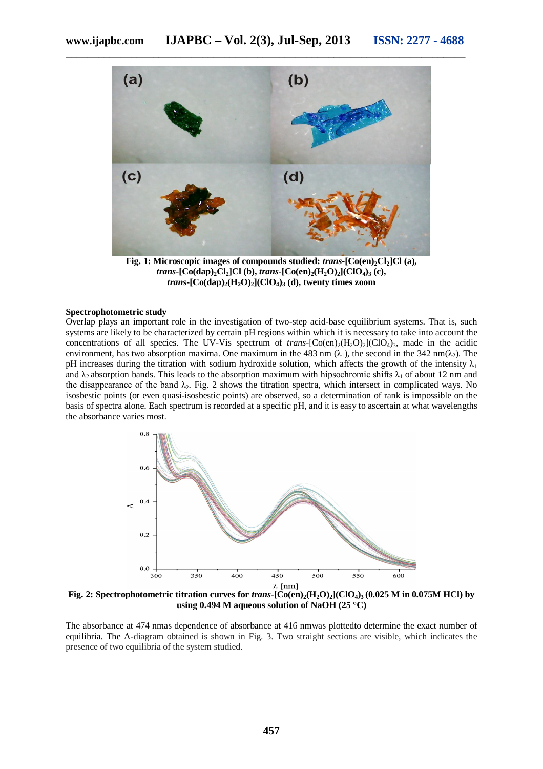

**\_\_\_\_\_\_\_\_\_\_\_\_\_\_\_\_\_\_\_\_\_\_\_\_\_\_\_\_\_\_\_\_\_\_\_\_\_\_\_\_\_\_\_\_\_\_\_\_\_\_\_\_\_\_\_\_\_\_\_\_\_\_\_\_\_\_\_\_\_\_\_\_\_**

**Fig. 1: Microscopic images of compounds studied:** *trans***-[Co(en)2Cl2]Cl (a),**   $trans$ **-**[Co(dap)<sub>2</sub>**Cl**<sub>2</sub>]**Cl** (b),  $trans$ **-**[Co(en)<sub>2</sub>(H<sub>2</sub>O)<sub>2</sub>](ClO<sub>4</sub>)<sub>3</sub> (c), *trans***-**[ $Co(dap)_{2}$ (H<sub>2</sub>O)<sub>2</sub>](ClO<sub>4</sub>)<sub>3</sub> (d), twenty times zoom

#### **Spectrophotometric study**

Overlap plays an important role in the investigation of two-step acid-base equilibrium systems. That is, such systems are likely to be characterized by certain pH regions within which it is necessary to take into account the concentrations of all species. The UV-Vis spectrum of *trans*- $[Co(en)_2(H_2O)_2]$  $(CIO_4)_3$ , made in the acidic environment, has two absorption maxima. One maximum in the 483 nm  $(\lambda_1)$ , the second in the 342 nm( $\lambda_2$ ). The pH increases during the titration with sodium hydroxide solution, which affects the growth of the intensity  $\lambda_1$ and  $\lambda_2$  absorption bands. This leads to the absorption maximum with hipsochromic shifts  $\lambda_1$  of about 12 nm and the disappearance of the band  $\lambda_2$ . Fig. 2 shows the titration spectra, which intersect in complicated ways. No isosbestic points (or even quasi-isosbestic points) are observed, so a determination of rank is impossible on the basis of spectra alone. Each spectrum is recorded at a specific pH, and it is easy to ascertain at what wavelengths the absorbance varies most.



**Fig. 2:** Spectrophotometric titration curves for *trans*- $\overline{[Co(en)_2(H_2O)_2(CIQ_4)_3(0.025 \text{ M in } 0.075 \text{ M~ICl})}$  by **using 0.494 M aqueous solution of NaOH (25 °C)**

The absorbance at 474 nmas dependence of absorbance at 416 nmwas plottedto determine the exact number of equilibria. The A-diagram obtained is shown in Fig. 3. Two straight sections are visible, which indicates the presence of two equilibria of the system studied.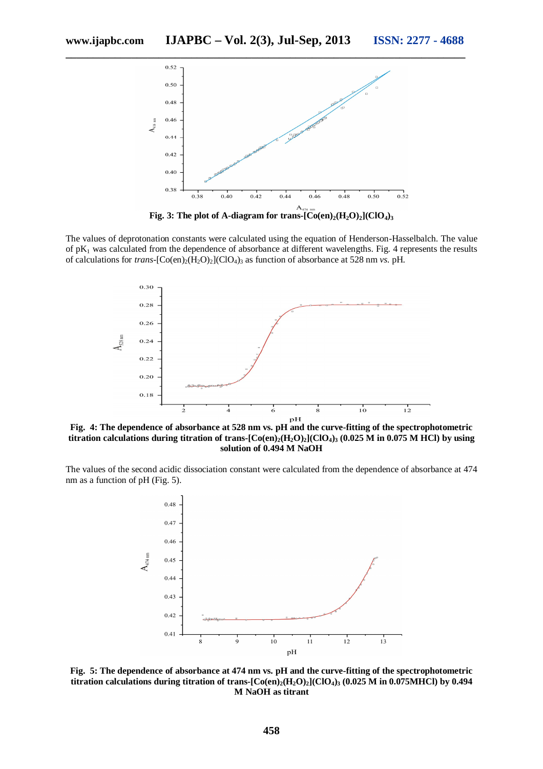

**\_\_\_\_\_\_\_\_\_\_\_\_\_\_\_\_\_\_\_\_\_\_\_\_\_\_\_\_\_\_\_\_\_\_\_\_\_\_\_\_\_\_\_\_\_\_\_\_\_\_\_\_\_\_\_\_\_\_\_\_\_\_\_\_\_\_\_\_\_\_\_\_\_**

**Fig. 3:** The plot of A-diagram for trans- $[Co(en)_2(H_2O)_2]$  $(CIO_4)_3$ 

The values of deprotonation constants were calculated using the equation of Henderson-Hasselbalch. The value of  $pK_1$  was calculated from the dependence of absorbance at different wavelengths. Fig. 4 represents the results of calculations for *trans*-[Co(en)<sub>2</sub>(H<sub>2</sub>O)<sub>2</sub>](ClO<sub>4</sub>)<sub>3</sub> as function of absorbance at 528 nm *vs.* pH.



**titration calculations during titration of trans-** $\left[Co(en)_2(H_2O)_2\right](ClO_4)_3$  **(0.025 M in 0.075 M HCl) by using solution of 0.494 M NaOH**

The values of the second acidic dissociation constant were calculated from the dependence of absorbance at 474 nm as a function of pH (Fig. 5).



**Fig. 5: The dependence of absorbance at 474 nm vs. pH and the curve-fitting of the spectrophotometric titration calculations during titration of trans-** $[Co(en)_2(H_2O)_2]$  $(CIO_4)_3$  $(0.025 M$  **in 0.075MHCl) by 0.494 M NaOH as titrant**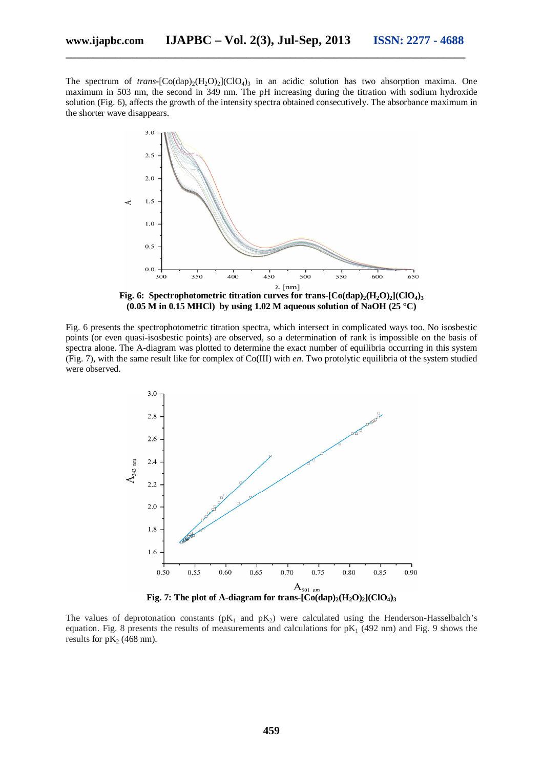The spectrum of *trans*- $[Co(dap)_{2}(H_{2}O)_{2}]$ <sup>3</sup> in an acidic solution has two absorption maxima. One maximum in 503 nm, the second in 349 nm. The pH increasing during the titration with sodium hydroxide solution (Fig. 6), affects the growth of the intensity spectra obtained consecutively. The absorbance maximum in the shorter wave disappears.



**Fig. 6:** Spectrophotometric **titration** curves for trans- $[Co(\text{dap})_2(\text{H}_2\text{O})_2](ClO_4)$ **(0.05 M in 0.15 MHCl) by using 1.02 M aqueous solution of NaOH (25 °C)**

Fig. 6 presents the spectrophotometric titration spectra, which intersect in complicated ways too. No isosbestic points (or even quasi-isosbestic points) are observed, so a determination of rank is impossible on the basis of spectra alone. The A-diagram was plotted to determine the exact number of equilibria occurring in this system (Fig. 7), with the same result like for complex of Co(III) with *en*. Two protolytic equilibria of the system studied were observed.



The values of deprotonation constants ( $pK_1$  and  $pK_2$ ) were calculated using the Henderson-Hasselbalch's equation. Fig. 8 presents the results of measurements and calculations for  $pK_1$  (492 nm) and Fig. 9 shows the results for  $pK_2$  (468 nm).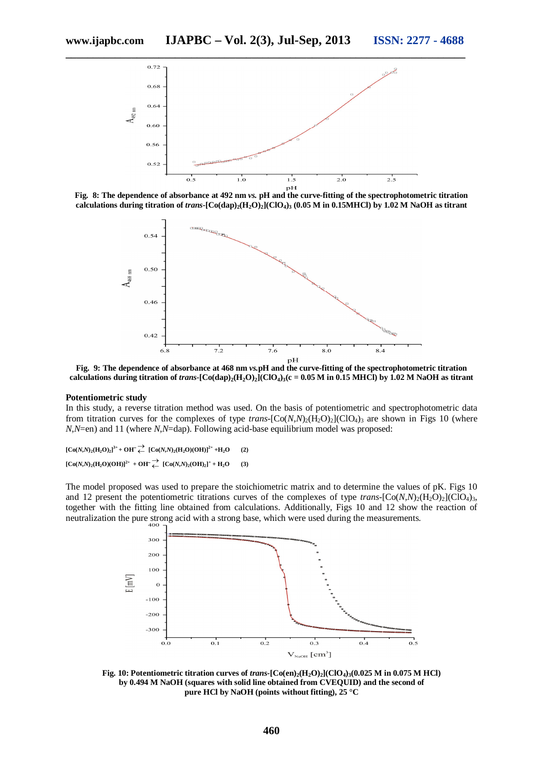

**Fig. 8: The dependence of absorbance at 492 nm** *vs.* **pH and the curve-fitting of the spectrophotometric titration**  calculations during titration of  $trans$ <sup> $-$ </sup>[Co(dap)<sub>2</sub>(H<sub>2</sub>O)<sub>2</sub>](ClO<sub>4</sub>)<sub>3</sub> (0.05 M in 0.15MHCl) by 1.02 M NaOH as titrant



**Fig. 9: The dependence of absorbance at 468 nm** *vs.***pH and the curve-fitting of the spectrophotometric titration** calculations during titration of *trans*- $[Co(\text{dap})_2(H_2O)_2]$  $[ClO_4)_3(c = 0.05 \text{ M in 0.15 MHC})$  by 1.02 M NaOH as titrant

#### **Potentiometric study**

In this study, a reverse titration method was used. On the basis of potentiometric and spectrophotometric data from titration curves for the complexes of type *trans*-[Co(*N,N*)<sub>2</sub>(H<sub>2</sub>O)<sub>2</sub>](ClO<sub>4</sub>)<sub>3</sub> are shown in Figs 10 (where *N,N*=en) and 11 (where *N,N*=dap). Following acid-base equilibrium model was proposed:

 $[Co(N,N)_2(H_2O)_2]^3$ <sup>+</sup> +  $OH^- \xleftarrow{\rightarrow} [Co(N,N)_2(H_2O)(OH)]^{2+}$  +H<sub>2</sub>O (2)  $[Co(N,N)_2(H_2O)(OH)]^{2+} + OH \stackrel{\rightarrow}{\leftarrow} [Co(N,N)_2(OH)_2]^+ + H_2O$  (3)

The model proposed was used to prepare the stoichiometric matrix and to determine the values of pK. Figs 10 and 12 present the potentiometric titrations curves of the complexes of type *trans*- $[Co(N,N)_2(H_2O)_2]$ (ClO<sub>4</sub>)<sub>3</sub>, together with the fitting line obtained from calculations. Additionally, Figs 10 and 12 show the reaction of neutralization the pure strong acid with a strong base, which were used during the measurements.



**Fig. 10: Potentiometric titration curves of** *trans-***[Co(en)2(H2O)2](ClO4)3(0.025 M in 0.075 M HCl) by 0.494 M NaOH (squares with solid line obtained from CVEQUID) and the second of pure HCl by NaOH (points without fitting), 25 °C**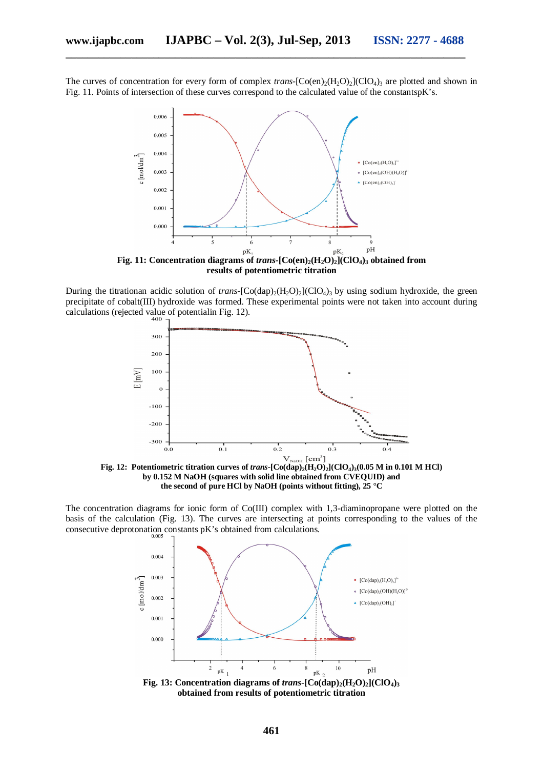The curves of concentration for every form of complex *trans*- $[Co(en)_2(H_2O)_2](ClO_4)$ <sub>3</sub> are plotted and shown in Fig. 11. Points of intersection of these curves correspond to the calculated value of the constantspK's.



During the titrationan acidic solution of *trans*- $[Co(\text{dap})_2(H_2O)_2]$ (ClO<sub>4</sub>)<sub>3</sub> by using sodium hydroxide, the green precipitate of cobalt(III) hydroxide was formed. These experimental points were not taken into account during calculations (rejected value of potentialin Fig. 12).



**Fig. 12:** Potentiometric titration curves of *trans*- $[Co(\text{dap})_2(\text{H}_2\text{O})_2]$  $[CO_4)_3(0.05 \text{ M in } 0.101 \text{ M HCl})$ **by 0.152 M NaOH (squares with solid line obtained from CVEQUID) and the second of pure HCl by NaOH (points without fitting), 25 °C**

The concentration diagrams for ionic form of Co(III) complex with 1,3-diaminopropane were plotted on the basis of the calculation (Fig. 13). The curves are intersecting at points corresponding to the values of the consecutive deprotonation constants  $pK$ 's obtained from calculations.



**obtained from results of potentiometric titration**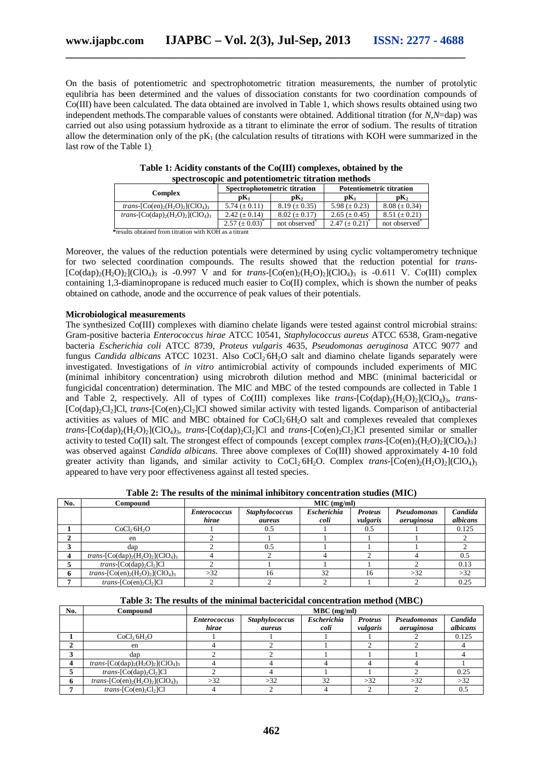On the basis of potentiometric and spectrophotometric titration measurements, the number of protolytic equlibria has been determined and the values of dissociation constants for two coordination compounds of Co(III) have been calculated. The data obtained are involved in Table 1, which shows results obtained using two independent methods.The comparable values of constants were obtained. Additional titration (for *N,N*=dap) was carried out also using potassium hydroxide as a titrant to eliminate the error of sodium. The results of titration allow the determination only of the  $pK_1$  (the calculation results of titrations with KOH were summarized in the last row of the Table 1).

| эрсси өзсөрге ана роксийоннен те ин айон нисиюаз                                                      |                             |                                                |                                 |                     |  |  |
|-------------------------------------------------------------------------------------------------------|-----------------------------|------------------------------------------------|---------------------------------|---------------------|--|--|
|                                                                                                       |                             | Spectrophotometric titration                   | <b>Potentiometric titration</b> |                     |  |  |
| Complex                                                                                               | $\mathbf{p}$ K <sub>1</sub> | $\mathbf{pK}_{2}$<br>$\mathbf{p} \mathbf{K}_1$ |                                 | pK <sub>2</sub>     |  |  |
| <i>trans</i> -[Co(en) <sub>2</sub> (H <sub>2</sub> O) <sub>2</sub> ](ClO <sub>4</sub> ) <sub>3</sub>  | 5.74 $(\pm 0.11)$           | $8.19 \ (\pm 0.35)$                            | 5.98 ( $\pm$ 0.23)              | $8.08 \ (\pm 0.34)$ |  |  |
| <i>trans</i> -[Co(dap) <sub>2</sub> (H <sub>2</sub> O) <sub>2</sub> ](ClO <sub>4</sub> ) <sub>3</sub> | 2.42 ( $\pm$ 0.14)          | $8.02 \ (\pm 0.17)$                            | 2.65 ( $\pm$ 0.45)              | $8.51 \ (\pm 0.21)$ |  |  |
|                                                                                                       | $2.57 \ (\pm 0.03)$         | not observed <sup>*</sup>                      | $2.47 \ (\pm 0.21)$             | not observed        |  |  |
| $\mathbf{a}$ is the state of the state $\mathbf{a}$                                                   |                             |                                                |                                 |                     |  |  |

**Table 1: Acidity constants of the Co(III) complexes, obtained by the spectroscopic and potentiometric titration methods**

 **\***results obtained from titration with KOH as a titrant

Moreover, the values of the reduction potentials were determined by using cyclic voltamperometry technique for two selected coordination compounds. The results showed that the reduction potential for *trans-*  $[Co(\text{dap})_2(H_2O)_2]$  $(CIO_4)_3$  is -0.997 V and for *trans*- $[Co(\text{en})_2(H_2O)_2]$  $(CIO_4)_3$  is -0.611 V. Co(III) complex containing 1,3-diaminopropane is reduced much easier to Co(II) complex, which is shown the number of peaks obtained on cathode, anode and the occurrence of peak values of their potentials.

# **Microbiological measurements**

The synthesized Co(III) complexes with diamino chelate ligands were tested against control microbial strains: Gram-positive bacteria *Enterococcus hirae* ATCC 10541, *Staphylococcus aureus* ATCC 6538, Gram-negative bacteria *Escherichia coli* ATCC 8739, *Proteus vulgaris* 4635, *Pseudomonas aeruginosa* ATCC 9077 and fungus *Candida albicans* ATCC 10231. Also CoCl<sub>2</sub> 6H<sub>2</sub>O salt and diamino chelate ligands separately were investigated. Investigations of *in vitro* antimicrobial activity of compounds included experiments of MIC (minimal inhibitory concentration) using microbroth dilution method and MBC (minimal bactericidal or fungicidal concentration) determination. The MIC and MBC of the tested compounds are collected in Table 1 and Table 2, respectively. All of types of Co(III) complexes like *trans*- $[Co(\text{dap})_2(H_2O)_2](ClO_4)$ <sub>3</sub>, *trans*-[Co(dap)2Cl2]Cl, *trans*-[Co(en)2Cl2]Cl showed similar activity with tested ligands. Comparison of antibacterial activities as values of MIC and MBC obtained for  $CoCl<sub>2</sub>6H<sub>2</sub>O$  salt and complexes revealed that complexes *trans*- $[Co(\text{dap})_{2}(H_{2}O)_{2}]$ (ClO<sub>4</sub>)<sub>3</sub>, *trans*- $[Co(\text{dap})_{2}Cl_{2}]$ Cl and *trans*- $[Co(\text{en})_{2}Cl_{2}]$ Cl presented similar or smaller activity to tested Co(II) salt. The strongest effect of compounds {except complex *trans*- $[Co(en)_2(H_2O)_2(CIO_4)_3$ } was observed against *Candida albicans*. Three above complexes of Co(III) showed approximately 4-10 fold greater activity than ligands, and similar activity to CoCl<sub>2</sub> 6H<sub>2</sub>O. Complex *trans*-[Co(en)<sub>2</sub>(H<sub>2</sub>O)<sub>2</sub>](ClO<sub>4</sub>)<sub>3</sub> appeared to have very poor effectiveness against all tested species.

**Table 2: The results of the minimal inhibitory concentration studies (MIC)**

| No. | Compound                                                                                              | MIC (mg/ml)                  |                                 |                            |                            |                           |                     |
|-----|-------------------------------------------------------------------------------------------------------|------------------------------|---------------------------------|----------------------------|----------------------------|---------------------------|---------------------|
|     |                                                                                                       | <b>Enterococcus</b><br>hirae | <b>Staphylococcus</b><br>aureus | <b>Escherichia</b><br>coli | <b>Proteus</b><br>vulgaris | Pseudomonas<br>aeruginosa | Candida<br>albicans |
|     | CoCl <sub>2</sub> 6H <sub>2</sub> O                                                                   |                              | 0.5                             |                            | 0.5                        |                           | 0.125               |
|     | en                                                                                                    |                              |                                 |                            |                            |                           |                     |
|     | dap                                                                                                   |                              | 0.5                             |                            |                            |                           |                     |
|     | <i>trans</i> -[Co(dap) <sub>2</sub> (H <sub>2</sub> O) <sub>2</sub> ](ClO <sub>4</sub> ) <sub>3</sub> |                              |                                 |                            |                            |                           |                     |
|     | <i>trans</i> -[Co(dap) <sub>2</sub> Cl <sub>2</sub> ]Cl                                               |                              |                                 |                            |                            |                           | 0.13                |
| 6   | <i>trans</i> -[Co(en) <sub>2</sub> (H <sub>2</sub> O) <sub>2</sub> ](ClO <sub>4</sub> ) <sub>3</sub>  | >32                          | 16                              | 32                         | 16                         | >32                       | >32                 |
|     | $trans$ -[Co(en) <sub>2</sub> Cl <sub>2</sub> ]Cl                                                     |                              |                                 |                            |                            |                           | 0.25                |

|  |  |  |  | Table 3: The results of the minimal bactericidal concentration method (MBC) |  |  |
|--|--|--|--|-----------------------------------------------------------------------------|--|--|
|--|--|--|--|-----------------------------------------------------------------------------|--|--|

| No. | Compound                                                                                              | $MBC$ (mg/ml)       |                       |                    |                |             |          |
|-----|-------------------------------------------------------------------------------------------------------|---------------------|-----------------------|--------------------|----------------|-------------|----------|
|     |                                                                                                       | <i>Enterococcus</i> | <b>Staphylococcus</b> | <b>Escherichia</b> | <b>Proteus</b> | Pseudomonas | Candida  |
|     |                                                                                                       | hirae               | aureus                | coli               | vulgaris       | aeruginosa  | albicans |
|     | CoCl <sub>2</sub> 6H <sub>2</sub> O                                                                   |                     |                       |                    |                |             | 0.125    |
| ◠   | en                                                                                                    |                     |                       |                    |                |             |          |
| ◠   | dap                                                                                                   |                     |                       |                    |                |             |          |
|     | <i>trans</i> -[Co(dap) <sub>2</sub> (H <sub>2</sub> O) <sub>2</sub> ](ClO <sub>4</sub> ) <sub>3</sub> |                     |                       |                    |                |             |          |
|     | $trans$ -[Co(dap) <sub>2</sub> Cl <sub>2</sub> ]Cl                                                    |                     |                       |                    |                |             | 0.25     |
|     | <i>trans</i> -[Co(en) <sub>2</sub> (H <sub>2</sub> O) <sub>2</sub> ](ClO <sub>4</sub> ) <sub>3</sub>  | >32                 | >32                   | 32                 | >32            | $>32$       | >32      |
|     | $trans$ -[Co(en), Cl <sub>2</sub> ]Cl                                                                 |                     |                       |                    |                |             | 0.5      |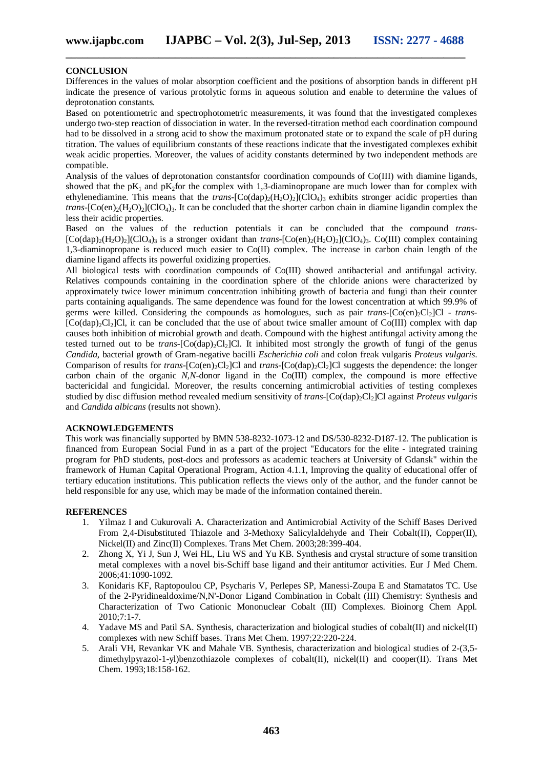# **CONCLUSION**

Differences in the values of molar absorption coefficient and the positions of absorption bands in different pH indicate the presence of various protolytic forms in aqueous solution and enable to determine the values of deprotonation constants.

Based on potentiometric and spectrophotometric measurements, it was found that the investigated complexes undergo two-step reaction of dissociation in water. In the reversed-titration method each coordination compound had to be dissolved in a strong acid to show the maximum protonated state or to expand the scale of pH during titration. The values of equilibrium constants of these reactions indicate that the investigated complexes exhibit weak acidic properties. Moreover, the values of acidity constants determined by two independent methods are compatible.

Analysis of the values of deprotonation constantsfor coordination compounds of Co(III) with diamine ligands, showed that the  $pK_1$  and  $pK_2$  for the complex with 1,3-diaminopropane are much lower than for complex with ethylenediamine. This means that the *trans*- $[Co(\text{dap})_2(H_2O)_2(CIO_4)$ <sub>3</sub> exhibits stronger acidic properties than *trans*- $[Co(en)_{2}(H_{2}O_{2})_{1}(ClO_{4})_{3}$ . It can be concluded that the shorter carbon chain in diamine ligandin complex the less their acidic properties.

Based on the values of the reduction potentials it can be concluded that the compound *trans-*  $[Co(dap)_{2}(H_{2}O)_{2}]$ (ClO<sub>4</sub>)<sub>3</sub> is a stronger oxidant than *trans*- $[Co(en)_{2}(H_{2}O)_{2}]$ (ClO<sub>4</sub>)<sub>3</sub>. Co(III) complex containing 1,3-diaminopropane is reduced much easier to Co(II) complex. The increase in carbon chain length of the diamine ligand affects its powerful oxidizing properties.

All biological tests with coordination compounds of Co(III) showed antibacterial and antifungal activity. Relatives compounds containing in the coordination sphere of the chloride anions were characterized by approximately twice lower minimum concentration inhibiting growth of bacteria and fungi than their counter parts containing aqualigands. The same dependence was found for the lowest concentration at which 99.9% of germs were killed. Considering the compounds as homologues, such as pair *trans*-[Co(en)<sub>2</sub>Cl<sub>2</sub>]Cl - *trans*- $[Co(dap)<sub>2</sub>Cl<sub>2</sub>]$ Cl, it can be concluded that the use of about twice smaller amount of Co(III) complex with dap causes both inhibition of microbial growth and death. Compound with the highest antifungal activity among the tested turned out to be *trans*- $[Co(\text{dap})_{2}Cl_{2}]Cl$ . It inhibited most strongly the growth of fungi of the genus *Candida*, bacterial growth of Gram-negative bacilli *Escherichia coli* and colon freak vulgaris *Proteus vulgaris*. Comparison of results for *trans*-[Co(en)<sub>2</sub>Cl<sub>2</sub>]Cl and *trans*-[Co(dap)<sub>2</sub>Cl<sub>2</sub>]Cl suggests the dependence: the longer carbon chain of the organic *N,N*-donor ligand in the Co(III) complex, the compound is more effective bactericidal and fungicidal. Moreover, the results concerning antimicrobial activities of testing complexes studied by disc diffusion method revealed medium sensitivity of *trans*-[Co(dap)<sub>2</sub>Cl<sub>2</sub>]Cl against *Proteus vulgaris* and *Candida albicans* (results not shown).

# **ACKNOWLEDGEMENTS**

This work was financially supported by BMN 538-8232-1073-12 and DS/530-8232-D187-12. The publication is financed from European Social Fund in as a part of the project "Educators for the elite - integrated training program for PhD students, post-docs and professors as academic teachers at University of Gdansk" within the framework of Human Capital Operational Program, Action 4.1.1, Improving the quality of educational offer of tertiary education institutions. This publication reflects the views only of the author, and the funder cannot be held responsible for any use, which may be made of the information contained therein.

#### **REFERENCES**

- 1. Yilmaz I and Cukurovali A. Characterization and Antimicrobial Activity of the Schiff Bases Derived From 2,4-Disubstituted Thiazole and 3-Methoxy Salicylaldehyde and Their Cobalt(II), Copper(II), Nickel(II) and Zinc(II) Complexes. Trans Met Chem. 2003;28:399-404.
- 2. Zhong X, Yi J, Sun J, Wei HL, Liu WS and Yu KB. Synthesis and crystal structure of some transition metal complexes with a novel bis-Schiff base ligand and their antitumor activities. Eur J Med Chem. 2006;41:1090-1092.
- 3. Konidaris KF, Raptopoulou CP, Psycharis V, Perlepes SP, Manessi-Zoupa E and Stamatatos TC. Use of the 2-Pyridinealdoxime/N,N'-Donor Ligand Combination in Cobalt (III) Chemistry: Synthesis and Characterization of Two Cationic Mononuclear Cobalt (III) Complexes. Bioinorg Chem Appl. 2010;7:1-7.
- 4. Yadave MS and Patil SA. Synthesis, characterization and biological studies of cobalt(II) and nickel(II) complexes with new Schiff bases. Trans Met Chem. 1997;22:220-224.
- 5. Arali VH, Revankar VK and Mahale VB. Synthesis, characterization and biological studies of 2-(3,5 dimethylpyrazol-1-yl)benzothiazole complexes of cobalt(II), nickel(II) and cooper(II). Trans Met Chem. 1993;18:158-162.